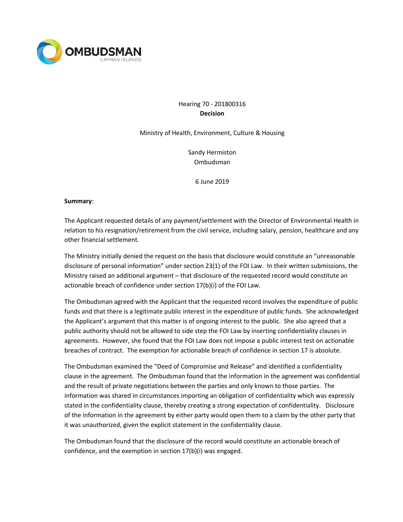

# Hearing 70 - 201800316 **Decision**

Ministry of Health, Environment, Culture & Housing

Sandy Hermiston Ombudsman

6 June 2019

#### **Summary**:

The Applicant requested details of any payment/settlement with the Director of Environmental Health in relation to his resignation/retirement from the civil service, including salary, pension, healthcare and any other financial settlement.

The Ministry initially denied the request on the basis that disclosure would constitute an "unreasonable disclosure of personal information" under section 23(1) of the FOI Law. In their written submissions, the Ministry raised an additional argument – that disclosure of the requested record would constitute an actionable breach of confidence under section 17(b)(i) of the FOI Law.

The Ombudsman agreed with the Applicant that the requested record involves the expenditure of public funds and that there is a legitimate public interest in the expenditure of public funds. She acknowledged the Applicant's argument that this matter is of ongoing interest to the public. She also agreed that a public authority should not be allowed to side step the FOI Law by inserting confidentiality clauses in agreements. However, she found that the FOI Law does not impose a public interest test on actionable breaches of contract. The exemption for actionable breach of confidence in section 17 is absolute.

The Ombudsman examined the "Deed of Compromise and Release" and identified a confidentiality clause in the agreement. The Ombudsman found that the information in the agreement was confidential and the result of private negotiations between the parties and only known to those parties. The information was shared in circumstances importing an obligation of confidentiality which was expressly stated in the confidentiality clause, thereby creating a strong expectation of confidentiality. Disclosure of the information in the agreement by either party would open them to a claim by the other party that it was unauthorized, given the explicit statement in the confidentiality clause.

The Ombudsman found that the disclosure of the record would constitute an actionable breach of confidence, and the exemption in section 17(b)(i) was engaged.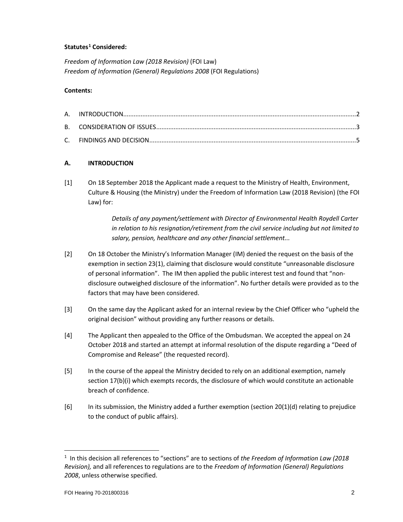# **Statutes[1](#page-1-0) Considered:**

*Freedom of Information Law (2018 Revision)* (FOI Law) *Freedom of Information (General) Regulations 2008* (FOI Regulations)

### **Contents:**

# **A. INTRODUCTION**

[1] On 18 September 2018 the Applicant made a request to the Ministry of Health, Environment, Culture & Housing (the Ministry) under the Freedom of Information Law (2018 Revision) (the FOI Law) for:

> *Details of any payment/settlement with Director of Environmental Health Roydell Carter in relation to his resignation/retirement from the civil service including but not limited to salary, pension, healthcare and any other financial settlement...*

- [2] On 18 October the Ministry's Information Manager (IM) denied the request on the basis of the exemption in section 23(1), claiming that disclosure would constitute "unreasonable disclosure of personal information". The IM then applied the public interest test and found that "nondisclosure outweighed disclosure of the information". No further details were provided as to the factors that may have been considered.
- [3] On the same day the Applicant asked for an internal review by the Chief Officer who "upheld the original decision" without providing any further reasons or details.
- [4] The Applicant then appealed to the Office of the Ombudsman. We accepted the appeal on 24 October 2018 and started an attempt at informal resolution of the dispute regarding a "Deed of Compromise and Release" (the requested record).
- [5] In the course of the appeal the Ministry decided to rely on an additional exemption, namely section 17(b)(i) which exempts records, the disclosure of which would constitute an actionable breach of confidence.
- [6] In its submission, the Ministry added a further exemption (section  $20(1)(d)$  relating to prejudice to the conduct of public affairs).

<span id="page-1-0"></span> <sup>1</sup> In this decision all references to "sections" are to sections of *the Freedom of Information Law (2018 Revision),* and all references to regulations are to the *Freedom of Information (General) Regulations 2008*, unless otherwise specified.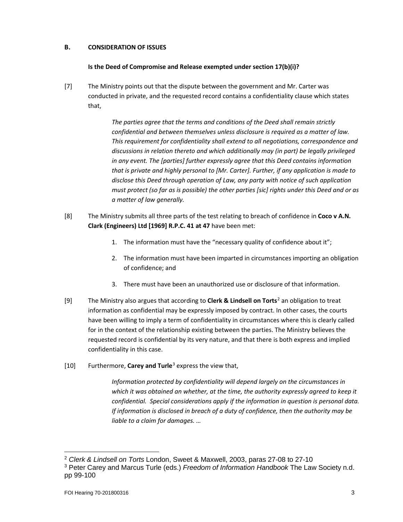# **B. CONSIDERATION OF ISSUES**

### **Is the Deed of Compromise and Release exempted under section 17(b)(i)?**

[7] The Ministry points out that the dispute between the government and Mr. Carter was conducted in private, and the requested record contains a confidentiality clause which states that,

> *The parties agree that the terms and conditions of the Deed shall remain strictly confidential and between themselves unless disclosure is required as a matter of law. This requirement for confidentiality shall extend to all negotiations, correspondence and discussions in relation thereto and which additionally may (in part) be legally privileged in any event. The [parties] further expressly agree that this Deed contains information that is private and highly personal to [Mr. Carter]. Further, if any application is made to disclose this Deed through operation of Law, any party with notice of such application must protect (so far as is possible) the other parties [sic] rights under this Deed and or as a matter of law generally.*

- [8] The Ministry submits all three parts of the test relating to breach of confidence in **Coco v A.N. Clark (Engineers) Ltd [1969] R.P.C. 41 at 47** have been met:
	- 1. The information must have the "necessary quality of confidence about it";
	- 2. The information must have been imparted in circumstances importing an obligation of confidence; and
	- 3. There must have been an unauthorized use or disclosure of that information.
- [9] The Ministry also argues that according to **Clerk & Lindsell on Torts**[2](#page-2-0) an obligation to treat information as confidential may be expressly imposed by contract. In other cases, the courts have been willing to imply a term of confidentiality in circumstances where this is clearly called for in the context of the relationship existing between the parties. The Ministry believes the requested record is confidential by its very nature, and that there is both express and implied confidentiality in this case.
- [10] Furthermore, **Carey and Turle**[3](#page-2-1) express the view that,

*Information protected by confidentiality will depend largely on the circumstances in which it was obtained an whether, at the time, the authority expressly agreed to keep it confidential. Special considerations apply if the information in question is personal data. If information is disclosed in breach of a duty of confidence, then the authority may be liable to a claim for damages. …* 

l

<span id="page-2-1"></span><span id="page-2-0"></span><sup>2</sup> *Clerk & Lindsell on Torts* London, Sweet & Maxwell, 2003, paras 27-08 to 27-10 <sup>3</sup> Peter Carey and Marcus Turle (eds.) *Freedom of Information Handbook* The Law Society n.d. pp 99-100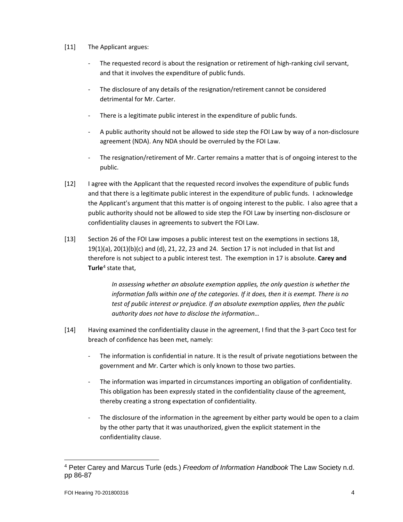### [11] The Applicant argues:

- The requested record is about the resignation or retirement of high-ranking civil servant, and that it involves the expenditure of public funds.
- The disclosure of any details of the resignation/retirement cannot be considered detrimental for Mr. Carter.
- There is a legitimate public interest in the expenditure of public funds.
- A public authority should not be allowed to side step the FOI Law by way of a non-disclosure agreement (NDA). Any NDA should be overruled by the FOI Law.
- The resignation/retirement of Mr. Carter remains a matter that is of ongoing interest to the public.
- [12] I agree with the Applicant that the requested record involves the expenditure of public funds and that there is a legitimate public interest in the expenditure of public funds. I acknowledge the Applicant's argument that this matter is of ongoing interest to the public. I also agree that a public authority should not be allowed to side step the FOI Law by inserting non-disclosure or confidentiality clauses in agreements to subvert the FOI Law.
- [13] Section 26 of the FOI Law imposes a public interest test on the exemptions in sections 18,  $19(1)(a)$ ,  $20(1)(b)(c)$  and (d),  $21$ ,  $22$ ,  $23$  and  $24$ . Section 17 is not included in that list and therefore is not subject to a public interest test. The exemption in 17 is absolute. **Carey and Turle**[4](#page-3-0) state that,

*In assessing whether an absolute exemption applies, the only question is whether the information falls within one of the categories. If it does, then it is exempt. There is no test of public interest or prejudice. If an absolute exemption applies, then the public authority does not have to disclose the information…*

- [14] Having examined the confidentiality clause in the agreement, I find that the 3-part Coco test for breach of confidence has been met, namely:
	- The information is confidential in nature. It is the result of private negotiations between the government and Mr. Carter which is only known to those two parties.
	- The information was imparted in circumstances importing an obligation of confidentiality. This obligation has been expressly stated in the confidentiality clause of the agreement, thereby creating a strong expectation of confidentiality.
	- The disclosure of the information in the agreement by either party would be open to a claim by the other party that it was unauthorized, given the explicit statement in the confidentiality clause.

 $\overline{\phantom{a}}$ 

<span id="page-3-0"></span><sup>4</sup> Peter Carey and Marcus Turle (eds.) *Freedom of Information Handbook* The Law Society n.d. pp 86-87